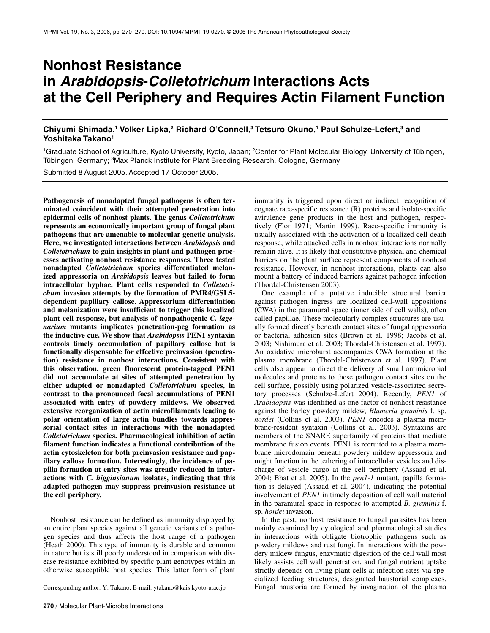# **Nonhost Resistance in** *Arabidopsis***-***Colletotrichum* **Interactions Acts at the Cell Periphery and Requires Actin Filament Function**

**Chiyumi Shimada,1 Volker Lipka,2 Richard O'Connell,3 Tetsuro Okuno,1 Paul Schulze-Lefert,3 and Yoshitaka Takano1**

<sup>1</sup>Graduate School of Agriculture, Kyoto University, Kyoto, Japan; <sup>2</sup>Center for Plant Molecular Biology, University of Tübingen, Tübingen, Germany; <sup>3</sup>Max Planck Institute for Plant Breeding Research, Cologne, Germany

Submitted 8 August 2005. Accepted 17 October 2005.

**Pathogenesis of nonadapted fungal pathogens is often terminated coincident with their attempted penetration into epidermal cells of nonhost plants. The genus** *Colletotrichum* **represents an economically important group of fungal plant pathogens that are amenable to molecular genetic analysis. Here, we investigated interactions between** *Arabidopsis* **and**  *Colletotrichum* **to gain insights in plant and pathogen processes activating nonhost resistance responses. Three tested nonadapted** *Colletotrichum* **species differentiated melanized appressoria on** *Arabidopsis* **leaves but failed to form intracellular hyphae. Plant cells responded to** *Colletotrichum* **invasion attempts by the formation of PMR4/GSL5 dependent papillary callose. Appressorium differentiation and melanization were insufficient to trigger this localized plant cell response, but analysis of nonpathogenic** *C. lagenarium* **mutants implicates penetration-peg formation as the inductive cue. We show that** *Arabidopsis* **PEN1 syntaxin controls timely accumulation of papillary callose but is functionally dispensable for effective preinvasion (penetration) resistance in nonhost interactions. Consistent with this observation, green fluorescent protein-tagged PEN1 did not accumulate at sites of attempted penetration by either adapted or nonadapted** *Colletotrichum* **species, in contrast to the pronounced focal accumulations of PEN1 associated with entry of powdery mildews. We observed extensive reorganization of actin microfilaments leading to polar orientation of large actin bundles towards appressorial contact sites in interactions with the nonadapted**  *Colletotrichum* **species. Pharmacological inhibition of actin filament function indicates a functional contribution of the actin cytoskeleton for both preinvasion resistance and papillary callose formation. Interestingly, the incidence of papilla formation at entry sites was greatly reduced in interactions with** *C. higginsianum* **isolates, indicating that this adapted pathogen may suppress preinvasion resistance at the cell periphery.** 

Nonhost resistance can be defined as immunity displayed by an entire plant species against all genetic variants of a pathogen species and thus affects the host range of a pathogen (Heath 2000). This type of immunity is durable and common in nature but is still poorly understood in comparison with disease resistance exhibited by specific plant genotypes within an otherwise susceptible host species. This latter form of plant

Corresponding author: Y. Takano; E-mail: ytakano@kais.kyoto-u.ac.jp

immunity is triggered upon direct or indirect recognition of cognate race-specific resistance (R) proteins and isolate-specific avirulence gene products in the host and pathogen, respectively (Flor 1971; Martin 1999). Race-specific immunity is usually associated with the activation of a localized cell-death response, while attacked cells in nonhost interactions normally remain alive. It is likely that constitutive physical and chemical barriers on the plant surface represent components of nonhost resistance. However, in nonhost interactions, plants can also mount a battery of induced barriers against pathogen infection (Thordal-Christensen 2003).

One example of a putative inducible structural barrier against pathogen ingress are localized cell-wall appositions (CWA) in the paramural space (inner side of cell walls), often called papillae. These molecularly complex structures are usually formed directly beneath contact sites of fungal appressoria or bacterial adhesion sites (Brown et al. 1998; Jacobs et al. 2003; Nishimura et al. 2003; Thordal-Christensen et al. 1997). An oxidative microburst accompanies CWA formation at the plasma membrane (Thordal-Christensen et al. 1997). Plant cells also appear to direct the delivery of small antimicrobial molecules and proteins to these pathogen contact sites on the cell surface, possibly using polarized vesicle-associated secretory processes (Schulze-Lefert 2004). Recently, *PEN1* of *Arabidopsis* was identified as one factor of nonhost resistance against the barley powdery mildew, *Blumeria graminis* f. sp. *hordei* (Collins et al. 2003). *PEN1* encodes a plasma membrane-resident syntaxin (Collins et al. 2003). Syntaxins are members of the SNARE superfamily of proteins that mediate membrane fusion events. PEN1 is recruited to a plasma membrane microdomain beneath powdery mildew appressoria and might function in the tethering of intracellular vesicles and discharge of vesicle cargo at the cell periphery (Assaad et al. 2004; Bhat et al. 2005). In the *pen1-1* mutant, papilla formation is delayed (Assaad et al. 2004), indicating the potential involvement of *PEN1* in timely deposition of cell wall material in the paramural space in response to attempted *B. graminis* f. sp. *hordei* invasion.

In the past, nonhost resistance to fungal parasites has been mainly examined by cytological and pharmacological studies in interactions with obligate biotrophic pathogens such as powdery mildews and rust fungi. In interactions with the powdery mildew fungus, enzymatic digestion of the cell wall most likely assists cell wall penetration, and fungal nutrient uptake strictly depends on living plant cells at infection sites via specialized feeding structures, designated haustorial complexes.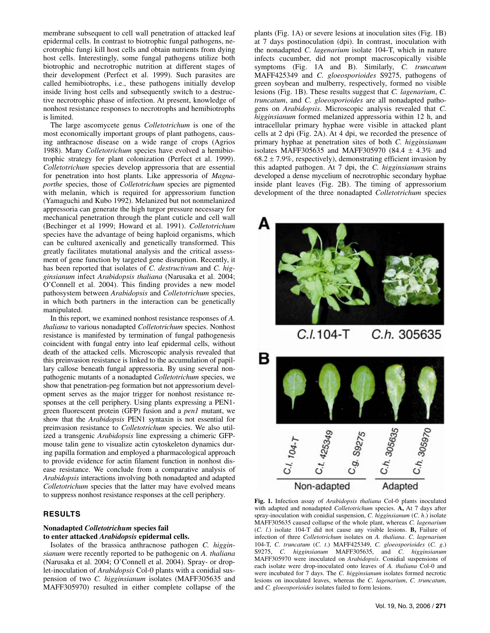membrane subsequent to cell wall penetration of attacked leaf epidermal cells. In contrast to biotrophic fungal pathogens, necrotrophic fungi kill host cells and obtain nutrients from dying host cells. Interestingly, some fungal pathogens utilize both biotrophic and necrotrophic nutrition at different stages of their development (Perfect et al. 1999). Such parasites are called hemibiotrophs, i.e., these pathogens initially develop inside living host cells and subsequently switch to a destructive necrotrophic phase of infection. At present, knowledge of nonhost resistance responses to necrotrophs and hemibiotrophs is limited.

The large ascomycete genus *Colletotrichum* is one of the most economically important groups of plant pathogens, causing anthracnose disease on a wide range of crops (Agrios 1988). Many *Colletotrichum* species have evolved a hemibiotrophic strategy for plant colonization (Perfect et al. 1999). *Colletotrichum* species develop appressoria that are essential for penetration into host plants. Like appressoria of *Magnaporthe* species, those of *Colletotrichum* species are pigmented with melanin, which is required for appressorium function (Yamaguchi and Kubo 1992). Melanized but not nonmelanized appressoria can generate the high turgor pressure necessary for mechanical penetration through the plant cuticle and cell wall (Bechinger et al 1999; Howard et al. 1991). *Colletotrichum* species have the advantage of being haploid organisms, which can be cultured axenically and genetically transformed. This greatly facilitates mutational analysis and the critical assessment of gene function by targeted gene disruption. Recently, it has been reported that isolates of *C. destructivum* and *C. higginsianum* infect *Arabidopsis thaliana* (Narusaka et al. 2004; O'Connell et al. 2004). This finding provides a new model pathosystem between *Arabidopsis* and *Colletotrichum* species, in which both partners in the interaction can be genetically manipulated.

In this report, we examined nonhost resistance responses of *A. thaliana* to various nonadapted *Colletotrichum* species. Nonhost resistance is manifested by termination of fungal pathogenesis coincident with fungal entry into leaf epidermal cells, without death of the attacked cells. Microscopic analysis revealed that this preinvasion resistance is linked to the accumulation of papillary callose beneath fungal appressoria. By using several nonpathogenic mutants of a nonadapted *Colletotrichum* species, we show that penetration-peg formation but not appressorium development serves as the major trigger for nonhost resistance responses at the cell periphery. Using plants expressing a PEN1 green fluorescent protein (GFP) fusion and a *pen1* mutant, we show that the *Arabidopsis* PEN1 syntaxin is not essential for preinvasion resistance to *Colletotrichum* species. We also utilized a transgenic *Arabidopsis* line expressing a chimeric GFPmouse talin gene to visualize actin cytoskeleton dynamics during papilla formation and employed a pharmacological approach to provide evidence for actin filament function in nonhost disease resistance. We conclude from a comparative analysis of *Arabidopsis* interactions involving both nonadapted and adapted *Colletotrichum* species that the latter may have evolved means to suppress nonhost resistance responses at the cell periphery.

# **RESULTS**

#### **Nonadapted** *Colletotrichum* **species fail to enter attacked** *Arabidopsis* **epidermal cells.**

Isolates of the brassica anthracnose pathogen *C. higginsianum* were recently reported to be pathogenic on *A. thaliana*  (Narusaka et al. 2004; O'Connell et al. 2004). Spray- or droplet-inoculation of *Arabidopsis* Col-0 plants with a conidial suspension of two *C. higginsianum* isolates (MAFF305635 and MAFF305970) resulted in either complete collapse of the

plants (Fig. 1A) or severe lesions at inoculation sites (Fig. 1B) at 7 days postinoculation (dpi). In contrast, inoculation with the nonadapted *C. lagenarium* isolate 104-T, which in nature infects cucumber, did not prompt macroscopically visible symptoms (Fig. 1A and B). Similarly, *C. truncatum*  MAFF425349 and *C. gloeosporioides* S9275, pathogens of green soybean and mulberry, respectively, formed no visible lesions (Fig. 1B). These results suggest that *C. lagenarium*, *C. truncatum*, and *C. gloeosporioides* are all nonadapted pathogens on *Arabidopsis*. Microscopic analysis revealed that *C. higginsianum* formed melanized appressoria within 12 h, and intracellular primary hyphae were visible in attacked plant cells at 2 dpi (Fig. 2A). At 4 dpi, we recorded the presence of primary hyphae at penetration sites of both *C. higginsianum* isolates MAFF305635 and MAFF305970 (84.4 ± 4.3% and  $68.2 \pm 7.9\%$ , respectively), demonstrating efficient invasion by this adapted pathogen. At 7 dpi, the *C. higginsianum* strains developed a dense mycelium of necrotrophic secondary hyphae inside plant leaves (Fig. 2B). The timing of appressorium development of the three nonadapted *Colletotrichum* species



C.I.104-T C.h. 305635



**Fig. 1.** Infection assay of *Arabidopsis thaliana* Col-0 plants inoculated with adapted and nonadapted *Colletotrichum* species. **A,** At 7 days after spray-inoculation with conidial suspension, *C. higginsianum* (*C. h*.) isolate MAFF305635 caused collapse of the whole plant, whereas *C. lagenarium* (*C. l*.) isolate 104-T did not cause any visible lesions. **B,** Failure of infection of three *Colletotrichum* isolates on *A. thaliana*. *C. lagenarium* 104-T, *C. truncatum* (*C. t*.) MAFF425349, *C. gloeosporioides* (*C. g*.) S9275, *C. higginsianum* MAFF305635, and *C. higginsianum* MAFF305970 were inoculated on *Arabidopsis*. Conidial suspensions of each isolate were drop-inoculated onto leaves of *A. thaliana* Col-0 and were incubated for 7 days. The *C. higginsianum* isolates formed necrotic lesions on inoculated leaves, whereas the *C. lagenarium*, *C. truncatum*, and *C. gloeosporioides* isolates failed to form lesions.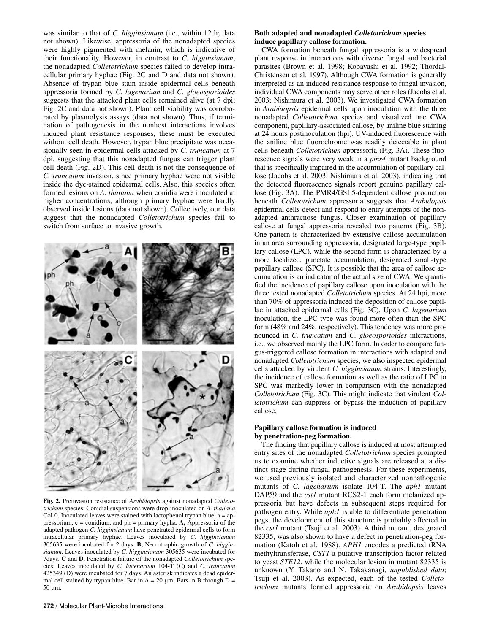was similar to that of *C. higginsianum* (i.e., within 12 h; data not shown). Likewise, appressoria of the nonadapted species were highly pigmented with melanin, which is indicative of their functionality. However, in contrast to *C. higginsianum*, the nonadapted *Colletotrichum* species failed to develop intracellular primary hyphae (Fig. 2C and D and data not shown). Absence of trypan blue stain inside epidermal cells beneath appressoria formed by *C. lagenarium* and *C. gloeosporioides* suggests that the attacked plant cells remained alive (at 7 dpi; Fig. 2C and data not shown). Plant cell viability was corroborated by plasmolysis assays (data not shown). Thus, if termination of pathogenesis in the nonhost interactions involves induced plant resistance responses, these must be executed without cell death. However, trypan blue precipitate was occasionally seen in epidermal cells attacked by *C. truncatum* at 7 dpi, suggesting that this nonadapted fungus can trigger plant cell death (Fig. 2D). This cell death is not the consequence of *C. truncatum* invasion, since primary hyphae were not visible inside the dye-stained epidermal cells. Also, this species often formed lesions on *A. thaliana* when conidia were inoculated at higher concentrations, although primary hyphae were hardly observed inside lesions (data not shown). Collectively, our data suggest that the nonadapted *Colletotrichum* species fail to switch from surface to invasive growth.



**Fig. 2.** Preinvasion resistance of *Arabidopsis* against nonadapted *Colletotrichum* species. Conidial suspensions were drop-inoculated on *A. thaliana* Col-0. Inoculated leaves were stained with lactophenol trypan blue. a = appressorium, c = conidium, and ph = primary hypha. **A,** Appressoria of the adapted pathogen *C. higginsianum* have penetrated epidermal cells to form intracellular primary hyphae. Leaves inoculated by *C. higginsianum* 305635 were incubated for 2 days. **B,** Necrotrophic growth of *C. higginsianum.* Leaves inoculated by *C. higginsianum* 305635 were incubated for 7days. **C** and **D**, Penetration failure of the nonadapted *Colletotrichum* species. Leaves inoculated by *C. lagenarium* 104-T (C) and *C. truncatum* 425349 (D) were incubated for 7 days. An asterisk indicates a dead epidermal cell stained by trypan blue. Bar in  $A = 20 \mu m$ . Bars in B through  $D =$ 50 μm.

## **Both adapted and nonadapted** *Colletotrichum* **species induce papillary callose formation.**

CWA formation beneath fungal appressoria is a widespread plant response in interactions with diverse fungal and bacterial parasites (Brown et al. 1998; Kobayashi et al. 1992; Thordal-Christensen et al. 1997). Although CWA formation is generally interpreted as an induced resistance response to fungal invasion, individual CWA components may serve other roles (Jacobs et al. 2003; Nishimura et al. 2003). We investigated CWA formation in *Arabidopsis* epidermal cells upon inoculation with the three nonadapted *Colletotrichum* species and visualized one CWA component, papillary-associated callose, by aniline blue staining at 24 hours postinoculation (hpi). UV-induced fluorescence with the aniline blue fluorochrome was readily detectable in plant cells beneath *Colletotrichum* appressoria (Fig. 3A). These fluorescence signals were very weak in a *pmr4* mutant background that is specifically impaired in the accumulation of papillary callose (Jacobs et al. 2003; Nishimura et al. 2003), indicating that the detected fluorescence signals report genuine papillary callose (Fig. 3A). The PMR4/GSL5-dependent callose production beneath *Colletotrichum* appressoria suggests that *Arabidopsis* epidermal cells detect and respond to entry attempts of the nonadapted anthracnose fungus. Closer examination of papillary callose at fungal appressoria revealed two patterns (Fig. 3B). One pattern is characterized by extensive callose accumulation in an area surrounding appressoria, designated large-type papillary callose (LPC), while the second form is characterized by a more localized, punctate accumulation, designated small-type papillary callose (SPC). It is possible that the area of callose accumulation is an indicator of the actual size of CWA. We quantified the incidence of papillary callose upon inoculation with the three tested nonadapted *Colletotrichum* species. At 24 hpi, more than 70% of appressoria induced the deposition of callose papillae in attacked epidermal cells (Fig. 3C). Upon *C. lagenarium*  inoculation, the LPC type was found more often than the SPC form (48% and 24%, respectively). This tendency was more pronounced in *C. truncatum* and *C. gloeosporioides* interactions, i.e., we observed mainly the LPC form. In order to compare fungus-triggered callose formation in interactions with adapted and nonadapted *Colletotrichum* species, we also inspected epidermal cells attacked by virulent *C. higginsianum* strains. Interestingly, the incidence of callose formation as well as the ratio of LPC to SPC was markedly lower in comparison with the nonadapted *Colletotrichum* (Fig. 3C). This might indicate that virulent *Colletotrichum* can suppress or bypass the induction of papillary callose.

# **Papillary callose formation is induced by penetration-peg formation.**

The finding that papillary callose is induced at most attempted entry sites of the nonadapted *Colletotrichum* species prompted us to examine whether inductive signals are released at a distinct stage during fungal pathogenesis. For these experiments, we used previously isolated and characterized nonpathogenic mutants of *C. lagenarium* isolate 104-T. The *aph1* mutant DAP59 and the *cst1* mutant RCS2-1 each form melanized appressoria but have defects in subsequent steps required for pathogen entry. While *aph1* is able to differentiate penetration pegs, the development of this structure is probably affected in the *cst1* mutant (Tsuji et al. 2003). A third mutant, designated 82335, was also shown to have a defect in penetration-peg formation (Katoh et al. 1988). *APH1* encodes a predicted tRNA methyltransferase, *CST1* a putative transcription factor related to yeast *STE12*, while the molecular lesion in mutant 82335 is unknown (Y. Takano and N. Takayanagi, *unpublished data*; Tsuji et al. 2003). As expected, each of the tested *Colletotrichum* mutants formed appressoria on *Arabidopsis* leaves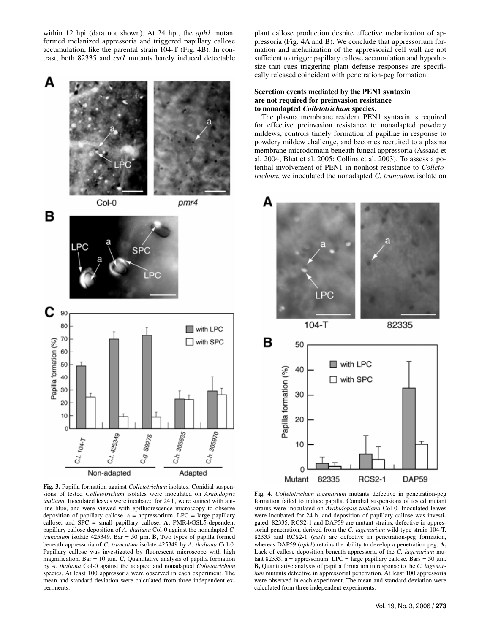within 12 hpi (data not shown). At 24 hpi, the *aph1* mutant formed melanized appressoria and triggered papillary callose accumulation, like the parental strain 104-T (Fig. 4B). In contrast, both 82335 and *cst1* mutants barely induced detectable



**Fig. 3.** Papilla formation against *Colletotrichum* isolates. Conidial suspensions of tested *Colletotrichum* isolates were inoculated on *Arabidopsis thaliana*. Inoculated leaves were incubated for 24 h, were stained with aniline blue, and were viewed with epifluorescence microscopy to observe deposition of papillary callose.  $a =$  appressorium,  $LPC =$  large papillary callose, and SPC = small papillary callose. **A,** PMR4/GSL5-dependent papillary callose deposition of *A. thaliana* Col-0 against the nonadapted *C. truncatum* isolate 425349. Bar = 50 μm. **B,** Two types of papilla formed beneath appressoria of *C. truncatum* isolate 425349 by *A. thaliana* Col-0. Papillary callose was investigated by fluorescent microscope with high magnification. Bar = 10  $\mu$ m. **C**, Quantitative analysis of papilla formation by *A. thaliana* Col-0 against the adapted and nonadapted *Colletotrichum* species. At least 100 appressoria were observed in each experiment. The mean and standard deviation were calculated from three independent experiments.

plant callose production despite effective melanization of appressoria (Fig. 4A and B). We conclude that appressorium formation and melanization of the appressorial cell wall are not sufficient to trigger papillary callose accumulation and hypothesize that cues triggering plant defense responses are specifically released coincident with penetration-peg formation.

# **Secretion events mediated by the PEN1 syntaxin are not required for preinvasion resistance to nonadapted** *Colletotrichum* **species.**

The plasma membrane resident PEN1 syntaxin is required for effective preinvasion resistance to nonadapted powdery mildews, controls timely formation of papillae in response to powdery mildew challenge, and becomes recruited to a plasma membrane microdomain beneath fungal appressoria (Assaad et al. 2004; Bhat et al. 2005; Collins et al. 2003). To assess a potential involvement of PEN1 in nonhost resistance to *Colletotrichum*, we inoculated the nonadapted *C. truncatum* isolate on



**Fig. 4.** *Colletotrichum lagenarium* mutants defective in penetration-peg formation failed to induce papilla. Conidial suspensions of tested mutant strains were inoculated on *Arabidopsis thaliana* Col-0. Inoculated leaves were incubated for 24 h, and deposition of papillary callose was investigated. 82335, RCS2-1 and DAP59 are mutant strains, defective in appressorial penetration, derived from the *C. lagenarium* wild-type strain 104-T. 82335 and RCS2-1 (*cst1*) are defective in penetration-peg formation, whereas DAP59 (*aph1*) retains the ability to develop a penetration peg. **A,** Lack of callose deposition beneath appressoria of the *C. lagenarium* mutant 82335. a = appressorium; LPC = large papillary callose. Bars = 50 μm. **B,** Quantitative analysis of papilla formation in response to the *C. lagenarium* mutants defective in appressorial penetration. At least 100 appressoria were observed in each experiment. The mean and standard deviation were calculated from three independent experiments.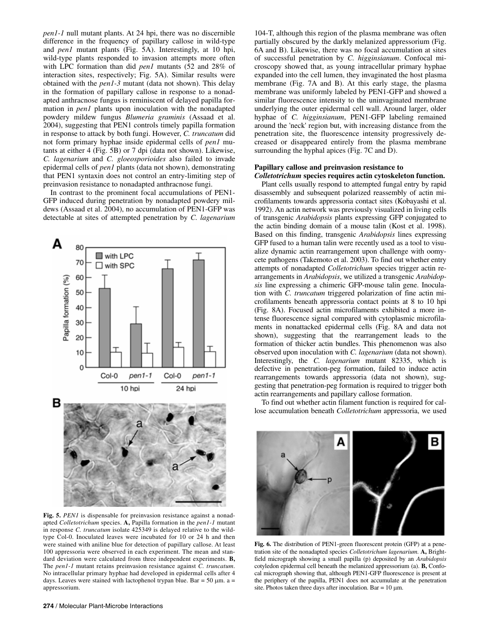*pen1-1* null mutant plants. At 24 hpi, there was no discernible difference in the frequency of papillary callose in wild-type and *pen1* mutant plants (Fig. 5A). Interestingly, at 10 hpi, wild-type plants responded to invasion attempts more often with LPC formation than did *pen1* mutants (52 and 28% of interaction sites, respectively; Fig. 5A). Similar results were obtained with the *pen1-3* mutant (data not shown). This delay in the formation of papillary callose in response to a nonadapted anthracnose fungus is reminiscent of delayed papilla formation in *pen1* plants upon inoculation with the nonadapted powdery mildew fungus *Blumeria graminis* (Assaad et al. 2004), suggesting that PEN1 controls timely papilla formation in response to attack by both fungi. However, *C. truncatum* did not form primary hyphae inside epidermal cells of *pen1* mutants at either 4 (Fig. 5B) or 7 dpi (data not shown). Likewise, *C. lagenarium* and *C. gloeosporioides* also failed to invade epidermal cells of *pen1* plants (data not shown), demonstrating that PEN1 syntaxin does not control an entry-limiting step of preinvasion resistance to nonadapted anthracnose fungi.

In contrast to the prominent focal accumulations of PEN1- GFP induced during penetration by nonadapted powdery mildews (Assaad et al. 2004), no accumulation of PEN1-GFP was detectable at sites of attempted penetration by *C. lagenarium* 



**Fig. 5.** *PEN1* is dispensable for preinvasion resistance against a nonadapted *Colletotrichum* species. **A,** Papilla formation in the *pen1-1* mutant in response *C. truncatum* isolate 425349 is delayed relative to the wildtype Col-0. Inoculated leaves were incubated for 10 or 24 h and then were stained with aniline blue for detection of papillary callose. At least 100 appressoria were observed in each experiment. The mean and standard deviation were calculated from three independent experiments. **B,** The *pen1-1* mutant retains preinvasion resistance against *C. truncatum*. No intracellular primary hyphae had developed in epidermal cells after 4 days. Leaves were stained with lactophenol trypan blue. Bar =  $50 \mu m$ . a = appressorium.

104-T, although this region of the plasma membrane was often partially obscured by the darkly melanized appressorium (Fig. 6A and B). Likewise, there was no focal accumulation at sites of successful penetration by *C. higginsianum*. Confocal microscopy showed that, as young intracellular primary hyphae expanded into the cell lumen, they invaginated the host plasma membrane (Fig. 7A and B). At this early stage, the plasma membrane was uniformly labeled by PEN1-GFP and showed a similar fluorescence intensity to the uninvaginated membrane underlying the outer epidermal cell wall. Around larger, older hyphae of *C. higginsianum*, PEN1-GFP labeling remained around the 'neck' region but, with increasing distance from the penetration site, the fluorescence intensity progressively decreased or disappeared entirely from the plasma membrane surrounding the hyphal apices (Fig. 7C and D).

## **Papillary callose and preinvasion resistance to**  *Colletotrichum* **species requires actin cytoskeleton function.**

Plant cells usually respond to attempted fungal entry by rapid disassembly and subsequent polarized reassembly of actin microfilaments towards appressoria contact sites (Kobayashi et al. 1992). An actin network was previously visualized in living cells of transgenic *Arabidopsis* plants expressing GFP conjugated to the actin binding domain of a mouse talin (Kost et al. 1998). Based on this finding, transgenic *Arabidopsis* lines expressing GFP fused to a human talin were recently used as a tool to visualize dynamic actin rearrangement upon challenge with oomycete pathogens (Takemoto et al. 2003). To find out whether entry attempts of nonadapted *Colletotrichum* species trigger actin rearrangements in *Arabidopsis*, we utilized a transgenic *Arabidopsis* line expressing a chimeric GFP-mouse talin gene. Inoculation with *C. truncatum* triggered polarization of fine actin microfilaments beneath appressoria contact points at 8 to 10 hpi (Fig. 8A). Focused actin microfilaments exhibited a more intense fluorescence signal compared with cytoplasmic microfilaments in nonattacked epidermal cells (Fig. 8A and data not shown), suggesting that the rearrangement leads to the formation of thicker actin bundles. This phenomenon was also observed upon inoculation with *C. lagenarium* (data not shown). Interestingly, the *C. lagenarium* mutant 82335, which is defective in penetration-peg formation, failed to induce actin rearrangements towards appressoria (data not shown), suggesting that penetration-peg formation is required to trigger both actin rearrangements and papillary callose formation.

To find out whether actin filament function is required for callose accumulation beneath *Colletotrichum* appressoria, we used



**Fig. 6.** The distribution of PEN1-green fluorescent protein (GFP) at a penetration site of the nonadapted species *Colletotrichum lagenarium*. **A,** Brightfield micrograph showing a small papilla (p) deposited by an *Arabidopsis* cotyledon epidermal cell beneath the melanized appressorium (a). **B,** Confocal micrograph showing that, although PEN1-GFP fluorescence is present at the periphery of the papilla, PEN1 does not accumulate at the penetration site. Photos taken three days after inoculation. Bar =  $10 \mu$ m.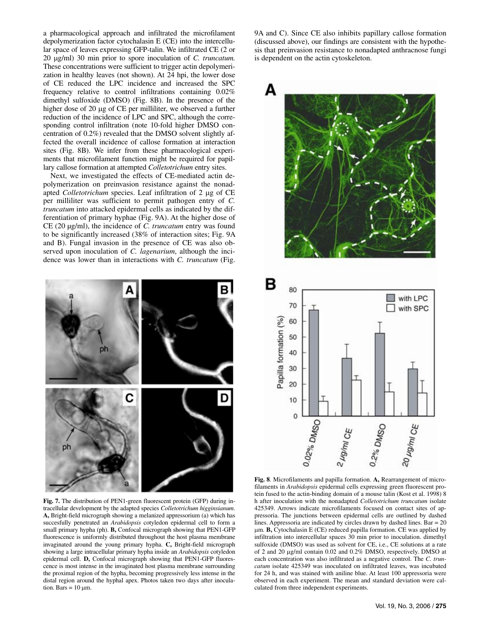a pharmacological approach and infiltrated the microfilament depolymerization factor cytochalasin E (CE) into the intercellular space of leaves expressing GFP-talin. We infiltrated CE (2 or 20 μg/ml) 30 min prior to spore inoculation of *C. truncatum.*  These concentrations were sufficient to trigger actin depolymerization in healthy leaves (not shown). At 24 hpi, the lower dose of CE reduced the LPC incidence and increased the SPC frequency relative to control infiltrations containing 0.02% dimethyl sulfoxide (DMSO) (Fig. 8B). In the presence of the higher dose of 20 μg of CE per milliliter, we observed a further reduction of the incidence of LPC and SPC, although the corresponding control infiltration (note 10-fold higher DMSO concentration of 0.2%) revealed that the DMSO solvent slightly affected the overall incidence of callose formation at interaction sites (Fig. 8B). We infer from these pharmacological experiments that microfilament function might be required for papillary callose formation at attempted *Colletotrichum* entry sites.

Next, we investigated the effects of CE-mediated actin depolymerization on preinvasion resistance against the nonadapted *Colletotrichum* species. Leaf infiltration of 2 μg of CE per milliliter was sufficient to permit pathogen entry of *C. truncatum* into attacked epidermal cells as indicated by the differentiation of primary hyphae (Fig. 9A). At the higher dose of CE (20 µg/ml), the incidence of *C. truncatum* entry was found to be significantly increased (38% of interaction sites; Fig. 9A and B). Fungal invasion in the presence of CE was also observed upon inoculation of *C. lagenarium*, although the incidence was lower than in interactions with *C. truncatum* (Fig.



**Fig. 7.** The distribution of PEN1-green fluorescent protein (GFP) during intracellular development by the adapted species *Colletotrichum higginsianum*. **A,** Bright-field micrograph showing a melanized appressorium (a) which has succesfully penetrated an *Arabidopsis* cotyledon epidermal cell to form a small primary hypha (ph). **B,** Confocal micrograph showing that PEN1-GFP fluorescence is uniformly distributed throughout the host plasma membrane invaginated around the young primary hypha. **C,** Bright-field micrograph showing a large intracellular primary hypha inside an *Arabidopsis* cotyledon epidermal cell. **D,** Confocal micrograph showing that PEN1-GFP fluorescence is most intense in the invaginated host plasma membrane surrounding the proximal region of the hypha, becoming progressively less intense in the distal region around the hyphal apex. Photos taken two days after inoculation. Bars =  $10 \mu$ m.

9A and C). Since CE also inhibits papillary callose formation (discussed above), our findings are consistent with the hypothesis that preinvasion resistance to nonadapted anthracnose fungi is dependent on the actin cytoskeleton.



**Fig. 8**. Microfilaments and papilla formation. **A,** Rearrangement of microfilaments in *Arabidopsis* epidermal cells expressing green fluorescent protein fused to the actin-binding domain of a mouse talin (Kost et al. 1998) 8 h after inoculation with the nonadapted *Colletotrichum truncatum* isolate 425349. Arrows indicate microfilaments focused on contact sites of appressoria. The junctions between epidermal cells are outlined by dashed lines. Appressoria are indicated by circles drawn by dashed lines. Bar = 20 μm. **B,** Cytochalasin E (CE) reduced papilla formation. CE was applied by infiltration into intercellular spaces 30 min prior to inoculation. dimethyl sulfoxide (DMSO) was used as solvent for CE, i.e., CE solutions at a rate of 2 and 20 μg/ml contain 0.02 and 0.2% DMSO, respectively. DMSO at each concentration was also infiltrated as a negative control. The *C. truncatum* isolate 425349 was inoculated on infiltrated leaves, was incubated for 24 h, and was stained with aniline blue. At least 100 appressoria were observed in each experiment. The mean and standard deviation were calculated from three independent experiments.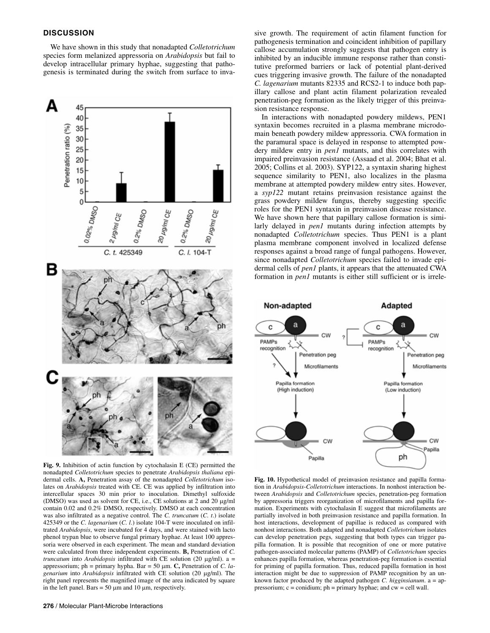# **DISCUSSION**

We have shown in this study that nonadapted *Colletotrichum* species form melanized appressoria on *Arabidopsis* but fail to develop intracellular primary hyphae, suggesting that pathogenesis is terminated during the switch from surface to inva-



**Fig. 9.** Inhibition of actin function by cytochalasin E (CE) permitted the nonadapted *Colletotrichum* species to penetrate *Arabidopsis thaliana* epidermal cells. **A,** Penetration assay of the nonadapted *Colletotrichum* isolates on *Arabidopsis* treated with CE. CE was applied by infiltration into intercellular spaces 30 min prior to inoculation. Dimethyl sulfoxide (DMSO) was used as solvent for CE, i.e., CE solutions at 2 and 20 μg/ml contain 0.02 and 0.2% DMSO, respectively. DMSO at each concentration was also infiltrated as a negative control. The *C. truncatum* (*C. t*.) isolate 425349 or the *C. lagenarium* (*C. l*.) isolate 104-T were inoculated on infiltrated *Arabidopsis*, were incubated for 4 days, and were stained with lacto phenol trypan blue to observe fungal primary hyphae. At least 100 appressoria were observed in each experiment. The mean and standard deviation were calculated from three independent experiments. **B,** Penetration of *C. truncatum* into *Arabidopsis* infiltrated with CE solution (20 μg/ml). a = appressorium; ph = primary hypha. Bar = 50 μm. **C,** Penetration of *C. lagenarium* into *Arabidopsis* infiltrated with CE solution (20 μg/ml). The right panel represents the magnified image of the area indicated by square in the left panel. Bars =  $50 \mu m$  and  $10 \mu m$ , respectively.

sive growth. The requirement of actin filament function for pathogenesis termination and coincident inhibition of papillary callose accumulation strongly suggests that pathogen entry is inhibited by an inducible immune response rather than constitutive preformed barriers or lack of potential plant-derived cues triggering invasive growth. The failure of the nonadapted *C. lagenarium* mutants 82335 and RCS2-1 to induce both papillary callose and plant actin filament polarization revealed penetration-peg formation as the likely trigger of this preinvasion resistance response.

In interactions with nonadapted powdery mildews, PEN1 syntaxin becomes recruited in a plasma membrane microdomain beneath powdery mildew appressoria. CWA formation in the paramural space is delayed in response to attempted powdery mildew entry in *pen1* mutants, and this correlates with impaired preinvasion resistance (Assaad et al. 2004; Bhat et al. 2005; Collins et al. 2003). SYP122, a syntaxin sharing highest sequence similarity to PEN1, also localizes in the plasma membrane at attempted powdery mildew entry sites. However, a *syp122* mutant retains preinvasion resistance against the grass powdery mildew fungus, thereby suggesting specific roles for the PEN1 syntaxin in preinvasion disease resistance. We have shown here that papillary callose formation is similarly delayed in *pen1* mutants during infection attempts by nonadapted *Colletotrichum* species. Thus PEN1 is a plant plasma membrane component involved in localized defense responses against a broad range of fungal pathogens. However, since nonadapted *Colletotrichum* species failed to invade epidermal cells of *pen1* plants, it appears that the attenuated CWA formation in *pen1* mutants is either still sufficient or is irrele-



**Fig. 10.** Hypothetical model of preinvasion resistance and papilla formation in *Arabidopsis*-*Colletotrichum* interactions. In nonhost interaction between *Arabidopsis* and *Colletotrichum* species, penetration-peg formation by appressoria triggers reorganization of microfilaments and papilla formation. Experiments with cytochalasin E suggest that microfilaments are partially involved in both preinvasion resistance and papilla formation. In host interactions, development of papillae is reduced as compared with nonhost interactions. Both adapted and nonadapted *Colletotrichum* isolates can develop penetration pegs*,* suggesting that both types can trigger papilla formation. It is possible that recognition of one or more putative pathogen-associated molecular patterns (PAMP) of *Colletotrichum* species enhances papilla formation, whereas penetration-peg formation is essential for priming of papilla formation. Thus, reduced papilla formation in host interaction might be due to suppression of PAMP recognition by an unknown factor produced by the adapted pathogen *C. higginsianum*. a = appressorium;  $c =$  conidium;  $ph =$  primary hyphae; and  $cw =$  cell wall.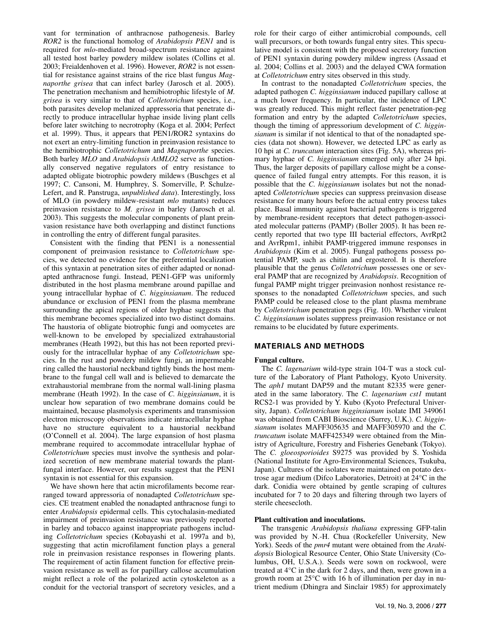vant for termination of anthracnose pathogenesis. Barley *ROR2* is the functional homolog of *Arabidopsis PEN1* and is required for *mlo*-mediated broad-spectrum resistance against all tested host barley powdery mildew isolates (Collins et al. 2003; Freialdenhoven et al. 1996). However, *ROR2* is not essential for resistance against strains of the rice blast fungus *Magnaporthe grisea* that can infect barley (Jarosch et al. 2005). The penetration mechanism and hemibiotrophic lifestyle of *M. grisea* is very similar to that of *Colletotrichum* species, i.e., both parasites develop melanized appressoria that penetrate directly to produce intracellular hyphae inside living plant cells before later switching to necrotrophy (Koga et al. 2004; Perfect et al. 1999). Thus, it appears that PEN1/ROR2 syntaxins do not exert an entry-limiting function in preinvasion resistance to the hemibiotrophic *Colletotrichum* and *Magnaporthe* species. Both barley *MLO* and *Arabidopsis AtMLO2* serve as functionally conserved negative regulators of entry resistance to adapted obligate biotrophic powdery mildews (Buschges et al 1997; C. Cansoni, M. Humphrey, S. Somerville, P. Schulze-Lefert, and R. Panstruga, *unpublished data*). Interestingly, loss of MLO (in powdery mildew-resistant *mlo* mutants) reduces preinvasion resistance to *M. grisea* in barley (Jarosch et al. 2003). This suggests the molecular components of plant preinvasion resistance have both overlapping and distinct functions in controlling the entry of different fungal parasites.

Consistent with the finding that PEN1 is a nonessential component of preinvasion resistance to *Colletotrichum* species, we detected no evidence for the preferential localization of this syntaxin at penetration sites of either adapted or nonadapted anthracnose fungi. Instead, PEN1-GFP was uniformly distributed in the host plasma membrane around papillae and young intracellular hyphae of *C. higginsianum*. The reduced abundance or exclusion of PEN1 from the plasma membrane surrounding the apical regions of older hyphae suggests that this membrane becomes specialized into two distinct domains. The haustoria of obligate biotrophic fungi and oomycetes are well-known to be enveloped by specialized extrahaustorial membranes (Heath 1992), but this has not been reported previously for the intracellular hyphae of any *Colletotrichum* species. In the rust and powdery mildew fungi, an impermeable ring called the haustorial neckband tightly binds the host membrane to the fungal cell wall and is believed to demarcate the extrahaustorial membrane from the normal wall-lining plasma membrane (Heath 1992). In the case of *C. higginsianum*, it is unclear how separation of two membrane domains could be maintained, because plasmolysis experiments and transmission electron microscopy observations indicate intracellular hyphae have no structure equivalent to a haustorial neckband (O'Connell et al. 2004). The large expansion of host plasma membrane required to accommodate intracellular hyphae of *Colletotrichum* species must involve the synthesis and polarized secretion of new membrane material towards the plantfungal interface. However, our results suggest that the PEN1 syntaxin is not essential for this expansion.

We have shown here that actin microfilaments become rearranged toward appressoria of nonadapted *Colletotrichum* species. CE treatment enabled the nonadapted anthracnose fungi to enter *Arabidopsis* epidermal cells. This cytochalasin-mediated impairment of preinvasion resistance was previously reported in barley and tobacco against inappropriate pathogens including *Colletotrichum* species (Kobayashi et al. 1997a and b), suggesting that actin microfilament function plays a general role in preinvasion resistance responses in flowering plants. The requirement of actin filament function for effective preinvasion resistance as well as for papillary callose accumulation might reflect a role of the polarized actin cytoskeleton as a conduit for the vectorial transport of secretory vesicles, and a

role for their cargo of either antimicrobial compounds, cell wall precursors, or both towards fungal entry sites. This speculative model is consistent with the proposed secretory function of PEN1 syntaxin during powdery mildew ingress (Assaad et al. 2004; Collins et al. 2003) and the delayed CWA formation at *Colletotrichum* entry sites observed in this study.

In contrast to the nonadapted *Colletotrichum* species, the adapted pathogen *C. higginsianum* induced papillary callose at a much lower frequency. In particular, the incidence of LPC was greatly reduced. This might reflect faster penetration-peg formation and entry by the adapted *Colletotrichum* species, though the timing of appressorium development of *C. higginsianum* is similar if not identical to that of the nonadapted species (data not shown). However, we detected LPC as early as 10 hpi at *C. truncatum* interaction sites (Fig. 5A), whereas primary hyphae of *C. higginsianum* emerged only after 24 hpi. Thus, the larger deposits of papillary callose might be a consequence of failed fungal entry attempts. For this reason, it is possible that the *C. higginsianum* isolates but not the nonadapted *Colletotrichum* species can suppress preinvasion disease resistance for many hours before the actual entry process takes place. Basal immunity against bacterial pathogens is triggered by membrane-resident receptors that detect pathogen-associated molecular patterns (PAMP) (Boller 2005). It has been recently reported that two type III bacterial effectors, AvrRpt2 and AvrRpm1, inhibit PAMP-triggered immune responses in *Arabidopsis* (Kim et al. 2005). Fungal pathogens possess potential PAMP, such as chitin and ergosterol. It is therefore plausible that the genus *Colletotrichum* possesses one or several PAMP that are recognized by *Arabidopsis*. Recognition of fungal PAMP might trigger preinvasion nonhost resistance responses to the nonadapted *Colletotrichum* species, and such PAMP could be released close to the plant plasma membrane by *Colletotrichum* penetration pegs (Fig. 10). Whether virulent *C. higginsianum* isolates suppress preinvasion resistance or not remains to be elucidated by future experiments.

## **MATERIALS AND METHODS**

#### **Fungal culture.**

The *C. lagenarium* wild-type strain 104-T was a stock culture of the Laboratory of Plant Pathology, Kyoto University. The *aph1* mutant DAP59 and the mutant 82335 were generated in the same laboratory. The *C. lagenarium cst1* mutant RCS2-1 was provided by Y. Kubo (Kyoto Prefectural University, Japan). *Colletotrichum higginsianum* isolate IMI 349061 was obtained from CABI Bioscience (Surrey, U.K.). *C. higginsianum* isolates MAFF305635 and MAFF305970 and the *C. truncatum* isolate MAFF425349 were obtained from the Ministry of Agriculture, Forestry and Fisheries Genebank (Tokyo). The *C. gloeosporioides* S9275 was provided by S. Yoshida (National Institute for Agro-Environmental Sciences, Tsukuba, Japan). Cultures of the isolates were maintained on potato dextrose agar medium (Difco Laboratories, Detroit) at 24°C in the dark. Conidia were obtained by gentle scraping of cultures incubated for 7 to 20 days and filtering through two layers of sterile cheesecloth.

#### **Plant cultivation and inoculations.**

The transgenic *Arabidopsis thaliana* expressing GFP-talin was provided by N.-H. Chua (Rockefeller University, New York). Seeds of the *pmr4* mutant were obtained from the *Arabidopsis* Biological Resource Center, Ohio State University (Columbus, OH, U.S.A.). Seeds were sown on rockwool, were treated at 4°C in the dark for 2 days, and then, were grown in a growth room at 25°C with 16 h of illumination per day in nutrient medium (Dhingra and Sinclair 1985) for approximately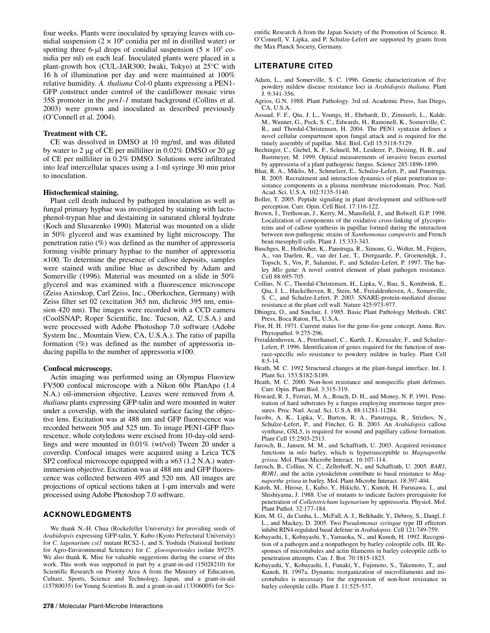four weeks. Plants were inoculated by spraying leaves with conidial suspension  $(2 \times 10^6 \text{ conidia per ml in distilled water})$  or spotting three 6-µl drops of conidial suspension  $(5 \times 10^5$  conidia per ml) on each leaf. Inoculated plants were placed in a plant-growth box (CUL-JAR300; Iwaki, Tokyo) at 25°C with 16 h of illumination per day and were maintained at 100% relative humidity. *A. thaliana* Col-0 plants expressing a PEN1- GFP construct under control of the cauliflower mosaic virus 35S promoter in the *pen1-1* mutant background (Collins et al. 2003) were grown and inoculated as described previously (O'Connell et al. 2004).

#### **Treatment with CE.**

CE was dissolved in DMSO at 10 mg/ml, and was diluted by water to 2 μg of CE per milliliter in 0.02% DMSO or 20 μg of CE per milliliter in 0.2% DMSO. Solutions were infiltrated into leaf intercellular spaces using a 1-ml syringe 30 min prior to inoculation.

## **Histochemical staining.**

Plant cell death induced by pathogen inoculation as well as fungal primary hyphae was investigated by staining with lactophenol-trypan blue and destaining in saturated chloral hydrate (Koch and Slusarenko 1990). Material was mounted on a slide in 50% glycerol and was examined by light microscopy. The penetration ratio  $(\%)$  was defined as the number of appressoria forming visible primary hyphae to the number of appressoria ×100. To determine the presence of callose deposits, samples were stained with aniline blue as described by Adam and Somerville (1996). Material was mounted on a slide in 50% glycerol and was examined with a fluorescence microscope (Zeiss Axioskop, Carl Zeiss, Inc., Oberkochen, Germany) with Zeiss filter set 02 (excitation 365 nm, dichroic 395 nm, emission 420 nm). The images were recorded with a CCD camera (CoolSNAP; Roper Scientific, Inc. Tucson, AZ, U.S.A.) and were processed with Adobe Photoshop 7.0 software (Adobe System Inc., Mountain View, CA, U.S.A.). The ratio of papilla formation (%) was defined as the number of appressoria inducing papilla to the number of appressoria ×100.

#### **Confocal microscopy.**

Actin imaging was performed using an Olympus Fluoview FV500 confocal microscope with a Nikon 60× PlanApo (1.4 N.A.) oil-immersion objective. Leaves were removed from *A. thaliana* plants expressing GFP-talin and were mounted in water under a coverslip, with the inoculated surface facing the objective lens. Excitation was at 488 nm and GFP fluorescence was recorded between 505 and 525 nm. To image PEN1-GFP fluorescence, whole cotyledons were excised from 10-day-old seedlings and were mounted in 0.01% (wt/vol) Tween 20 under a coverslip. Confocal images were acquired using a Leica TCS SP2 confocal microscope equipped with a  $\times$  63 (1.2 N.A.) waterimmersion objective. Excitation was at 488 nm and GFP fluorescence was collected between 495 and 520 nm. All images are projections of optical sections taken at 1-µm intervals and were processed using Adobe Photoshop 7.0 software.

## **ACKNOWLEDGMENTS**

We thank N.-H. Chua (Rockefeller University) for providing seeds of *Arabidopsis* expressing GFP-talin, Y. Kubo (Kyoto Prefectural University) for *C. lagenarium cst1* mutant RCS2-1, and S. Yoshida (National Institute for Agro-Environmental Sciences) for *C. gloeosporioides* isolate S9275. We also thank K. Mise for valuable suggestions during the course of this work. This work was supported in part by a grant-in-aid (15028210) for Scientific Research on Priority Area A from the Ministry of Education, Culture, Sports, Science and Technology, Japan, and a grant-in-aid (15780035) for Young Scientists B, and a grant-in-aid (13306005) for Scientific Research A from the Japan Society of the Promotion of Science. R. O'Connell, V. Lipka, and P. Schulze-Lefert are supported by grants from the Max Planck Society, Germany.

# **LITERATURE CITED**

- Adam, L., and Somerville, S. C. 1996. Genetic characterization of five powdery mildew disease resistance loci in *Arabidopsis thaliana*. Plant J. 9:341-356.
- Agrios, G.N. 1988. Plant Pathology. 3rd ed. Academic Press, San Diego, CA, U.S.A.
- Assaad, F. F., Qiu, J. L., Youngs, H., Ehrhardt, D., Zimmerli, L., Kalde, M., Wanner, G., Peck, S. C., Edwards, H., Ramonell, K., Somerville, C. R., and Thordal-Christensen, H. 2004. The PEN1 syntaxin defines a novel cellular compartment upon fungal attack and is required for the timely assembly of papillae. Mol. Biol. Cell 15:5118-5129.
- Bechinger, C., Giebel, K. F., Schnell, M., Leiderer, P., Deising, H. B., and Bastmeyer, M. 1999. Optical measurements of invasive forces exerted by appressoria of a plant pathogenic fungus. Science 285:1896-1899.
- Bhat, R. A., Miklis, M., Schmelzer, E., Schulze-Lefert, P., and Panstruga, R. 2005. Recruitment and interaction dynamics of plant penetration resistance components in a plasma membrane microdomain. Proc. Natl. Acad. Sci. U.S.A. 102:3135-3140.
- [Boller, T,](http://wos02.isiknowledge.com/CIW.cgi?SID=C2n@o2o6gjEML@MjndI&Func=OneClickSearch&field=AU&val=Boller+T&curr_doc=13/1&Form=FullRecordPage&doc=13/1) 2005. Peptide signaling in plant development and self/non-self perception. Curr. Opin. Cell Biol. 17:116-122.
- [Brown, I](http://wos02.isiknowledge.com/CIW.cgi?SID=C2n@o2o6gjEML@MjndI&Func=OneClickSearch&field=AU&val=Brown+I&curr_doc=7/2&Form=FullRecordPage&doc=7/2)., [Trethowan, J.](http://wos02.isiknowledge.com/CIW.cgi?SID=C2n@o2o6gjEML@MjndI&Func=OneClickSearch&field=AU&val=Trethowan+J&curr_doc=7/2&Form=FullRecordPage&doc=7/2), [Kerry, M](http://wos02.isiknowledge.com/CIW.cgi?SID=C2n@o2o6gjEML@MjndI&Func=OneClickSearch&field=AU&val=Kerry+M&curr_doc=7/2&Form=FullRecordPage&doc=7/2)., [Mansfield, J](http://wos02.isiknowledge.com/CIW.cgi?SID=C2n@o2o6gjEML@MjndI&Func=OneClickSearch&field=AU&val=Mansfield+J&curr_doc=7/2&Form=FullRecordPage&doc=7/2)., and [Bolwell. G.P.](http://wos02.isiknowledge.com/CIW.cgi?SID=C2n@o2o6gjEML@MjndI&Func=OneClickSearch&field=AU&val=Bolwell+GP&curr_doc=7/2&Form=FullRecordPage&doc=7/2) 1998. Localization of components of the oxidative cross-linking of glycoproteins and of callose synthesis in papillae formed during the interaction between non-pathogenic strains of *Xanthomonas campestris* and French bean mesophyll cells. Plant J. 15:333-343.
- Buschges, R., Hollricher, K., Panstruga, R., Simons, G., Wolter, M., Frijters, A., van Daelen, R., van der Lee, T., Diergaarde, P., Groenendijk, J., Topsch, S., Vos, P., Salamini, F., and Schulze-Lefert, P. 1997. The barley *Mlo* gene: A novel control element of plant pathogen resistance. Cell 88:695-705.
- Collins, N. C., Thordal-Christensen, H., Lipka, V., Bau, S., Kombrink, E., Qiu, J. L., Huckelhoven, R., Stein, M., Freialdenhoven, A., Somerville, S. C., and Schulze-Lefert, P. 2003. SNARE-protein-mediated disease resistance at the plant cell wall. Nature 425:973-977.
- Dhingra, O., and Sinclair, J. 1985. Basic Plant Pathology Methods. CRC Press, Boca Raton, FL, U.S.A.
- Flor, H. H. 1971. Current status for the gene-for-gene concept. Annu. Rev. Phytopathol. 9:275-296.
- Freialdenhoven, A., Peterhansel, C., Kurth, J., Kreuzaler, F., and Schulze-Lefert, P. 1996. Identification of genes required for the function of nonrace-specific *mlo* resistance to powdery mildew in barley. Plant Cell 8:5-14.
- Heath, M. C. 1992 Structural changes at the plant-fungal interface. Int. J. Plant Sci. 153:S182-S189.
- Heath, M. C. 2000. Non-host resistance and nonspecific plant defenses. Curr. Opin. Plant Biol. 3:315-319.
- Howard, R. J., Ferrari, M. A., Roach, D. H., and Money, N. P. 1991. Penetration of hard substrates by a fungus employing enormous turgor pressures. Proc. Natl. Acad. Sci. U.S.A. 88:11281-11284.
- Jacobs, A. K., Lipka, V., Burton, R. A., Panstruga, R., Strizhov, N., Schulze-Lefert, P., and Fincher, G. B. 2003. An *Arabidopsis* callose synthase, GSL5, is required for wound and papillary callose formation. Plant Cell 15:2503-2513.
- Jarosch, B., Jansen, M. M., and Schaffrath, U. 2003. Acquired resistance functions in *mlo* barley, which is hypersusceptible to *Magnaporthe grisea*. Mol. Plant-Microbe Interact. 16:107-114.
- Jarosch, B., Collins, N. C., Zellerhoff, N., and Schaffrath, U. 2005. *RAR1*, *ROR1*, and the actin cytoskeleton contribute to basal resistance to *Magnaporthe grisea* in barley. Mol. Plant-Microbe Interact. 18:397-404.
- Katoh, M., Hirose, I., Kubo, Y., Hikichi, Y., Kunoh, H. Furusawa, I., and Shishiyama, J. 1988. Use of mutants to indicate factors prerequisite for penetration of *Colletotrichum lagenarium* by appressoria. Physiol. Mol. Plant Pathol. 32:177-184.
- Kim, M. G., da Cunha, L., McFall, A. J., Belkhadir, Y., Debroy, S., Dangl, J. L., and Mackey, D. 2005. Two P*seudomonas syringae* type III effectors inhibit RIN4-regulated basal defense in *Arabidopsis*. Cell 121:749-759.
- Kobayashi, I., Kobayashi, Y., Yamaoka, N., and Kunoh, H. 1992. Recognition of a pathogen and a nonpathogen by barley coleoptile cells. III. Responses of microtubules and actin filaments in barley coleoptile cells to penetration attempts. Can. J. Bot. 70:1815-1823.
- [Kobayashi, Y.](http://wos02.isiknowledge.com/CIW.cgi?SID=C2n@o2o6gjEML@MjndI&Func=OneClickSearch&field=AU&val=Kobayashi+Y&curr_doc=9/17&Form=FullRecordPage&doc=9/17), [Kobayashi, I.](http://wos02.isiknowledge.com/CIW.cgi?SID=C2n@o2o6gjEML@MjndI&Func=OneClickSearch&field=AU&val=Kobayashi+I&curr_doc=9/17&Form=FullRecordPage&doc=9/17), [Funaki, Y.](http://wos02.isiknowledge.com/CIW.cgi?SID=C2n@o2o6gjEML@MjndI&Func=OneClickSearch&field=AU&val=Funaki+Y&curr_doc=9/17&Form=FullRecordPage&doc=9/17), [Fujimoto, S](http://wos02.isiknowledge.com/CIW.cgi?SID=C2n@o2o6gjEML@MjndI&Func=OneClickSearch&field=AU&val=Fujimoto+S&curr_doc=9/17&Form=FullRecordPage&doc=9/17)., [Takemoto, T.](http://wos02.isiknowledge.com/CIW.cgi?SID=C2n@o2o6gjEML@MjndI&Func=OneClickSearch&field=AU&val=Takemoto+T&curr_doc=9/17&Form=FullRecordPage&doc=9/17), and [Kunoh, H](http://wos02.isiknowledge.com/CIW.cgi?SID=C2n@o2o6gjEML@MjndI&Func=OneClickSearch&field=AU&val=Kunoh+H&curr_doc=9/17&Form=FullRecordPage&doc=9/17). 1997a. Dynamic reorganization of microfilaments and microtubules is necessary for the expression of non-host resistance in barley coleoptile cells. Plant J. 11:525-537.